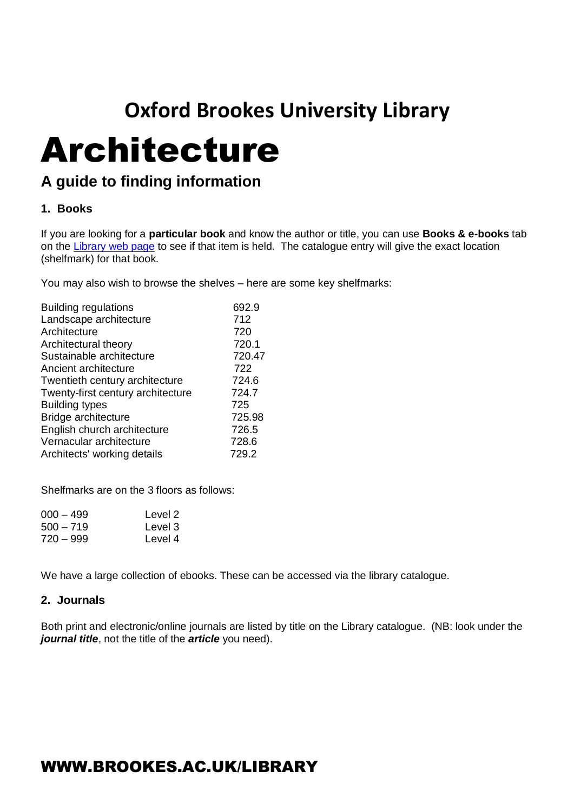# **Oxford Brookes University Library**

# Architecture

### **A guide to finding information**

#### **1. Books**

If you are looking for a **particular book** and know the author or title, you can use **Books & e-books** tab on the [Library web page](https://www.brookes.ac.uk/library/) to see if that item is held. The catalogue entry will give the exact location (shelfmark) for that book.

You may also wish to browse the shelves – here are some key shelfmarks:

| <b>Building regulations</b>       | 692.9  |
|-----------------------------------|--------|
| Landscape architecture            | 712    |
| Architecture                      | 720    |
| Architectural theory              | 720.1  |
| Sustainable architecture          | 720.47 |
| Ancient architecture              | 722    |
| Twentieth century architecture    | 724.6  |
| Twenty-first century architecture | 724.7  |
| <b>Building types</b>             | 725    |
| Bridge architecture               | 725.98 |
| English church architecture       | 726.5  |
| Vernacular architecture           | 728.6  |
| Architects' working details       | 729.2  |
|                                   |        |

Shelfmarks are on the 3 floors as follows:

| 000 – 499   | Level 2 |
|-------------|---------|
| $500 - 719$ | Level 3 |
| 720 – 999   | Level 4 |

We have a large collection of ebooks. These can be accessed via the library catalogue.

#### **2. Journals**

Both print and electronic/online journals are listed by title on the Library catalogue. (NB: look under the *journal title*, not the title of the *article* you need).

## WWW.BROOKES.AC.UK/LIBRARY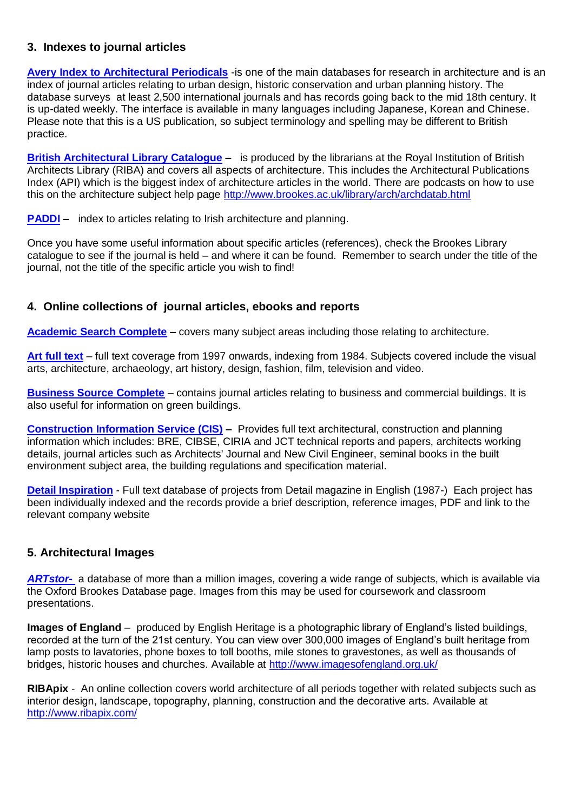#### **3. Indexes to journal articles**

**[Avery Index to Architectural Periodicals](http://opac.brookes.ac.uk/www-bin/ejnls?CN=S0000365MP)** -is one of the main databases for research in architecture and is an index of journal articles relating to urban design, historic conservation and urban planning history. The database surveys at least 2,500 international journals and has records going back to the mid 18th century. It is up-dated weekly. The interface is available in many languages including Japanese, Korean and Chinese. Please note that this is a US publication, so subject terminology and spelling may be different to British practice.

**[British Architectural Library Catalogue](http://opac.brookes.ac.uk/www-bin/ejnls?CN=S0005113OX) –** is produced by the librarians at the Royal Institution of British Architects Library (RIBA) and covers all aspects of architecture. This includes the Architectural Publications Index (API) which is the biggest index of architecture articles in the world. There are podcasts on how to use this on the architecture subject help page<http://www.brookes.ac.uk/library/arch/archdatab.html>

**[PADDI](http://opac.brookes.ac.uk/www-bin/ejnls?CN=S0000764QU)** – index to articles relating to Irish architecture and planning.

Once you have some useful information about specific articles (references), check the Brookes Library catalogue to see if the journal is held – and where it can be found. Remember to search under the title of the journal, not the title of the specific article you wish to find!

#### **4. Online collections of journal articles, ebooks and reports**

**[Academic Search Complete](http://opac.brookes.ac.uk/www-bin/ejnls?CN=S0017688OX) –** covers many subject areas including those relating to architecture.

**[Art full text](http://opac.brookes.ac.uk/www-bin/ejnls?CN=S0027196OX)** – full text coverage from 1997 onwards, indexing from 1984. Subjects covered include the visual arts, architecture, archaeology, art history, design, fashion, film, television and video.

**[Business Source Complete](http://opac.brookes.ac.uk/www-bin/ejnls?CN=S0014834OX)** – contains journal articles relating to business and commercial buildings. It is also useful for information on green buildings.

**[Construction Information Service \(CIS\)](http://opac.brookes.ac.uk/www-bin/ejnls?CN=S0017734OX) –** Provides full text architectural, construction and planning information which includes: BRE, CIBSE, CIRIA and JCT technical reports and papers, architects working details, journal articles such as Architects' Journal and New Civil Engineer, seminal books in the built environment subject area, the building regulations and specification material.

**[Detail Inspiration](http://oxfordbrookes.idm.oclc.org/login?url=http://www.detail-online.com/inspiration)** - Full text database of projects from Detail magazine in English (1987-) Each project has been individually indexed and the records provide a brief description, reference images, PDF and link to the relevant company website

#### **5. Architectural Images**

*[ARTstor-](http://opac.brookes.ac.uk/www-bin/ejnls?CN=S0026102OX)* a database of more than a million images, covering a wide range of subjects, which is available via the Oxford Brookes Database page. Images from this may be used for coursework and classroom presentations.

**Images of England** – produced by English Heritage is a photographic library of England's listed buildings, recorded at the turn of the 21st century. You can view over 300,000 images of England's built heritage from lamp posts to lavatories, phone boxes to toll booths, mile stones to gravestones, as well as thousands of bridges, historic houses and churches. Available at<http://www.imagesofengland.org.uk/>

**RIBApix** - An online collection covers world architecture of all periods together with related subjects such as interior design, landscape, topography, planning, construction and the decorative arts. Available at <http://www.ribapix.com/>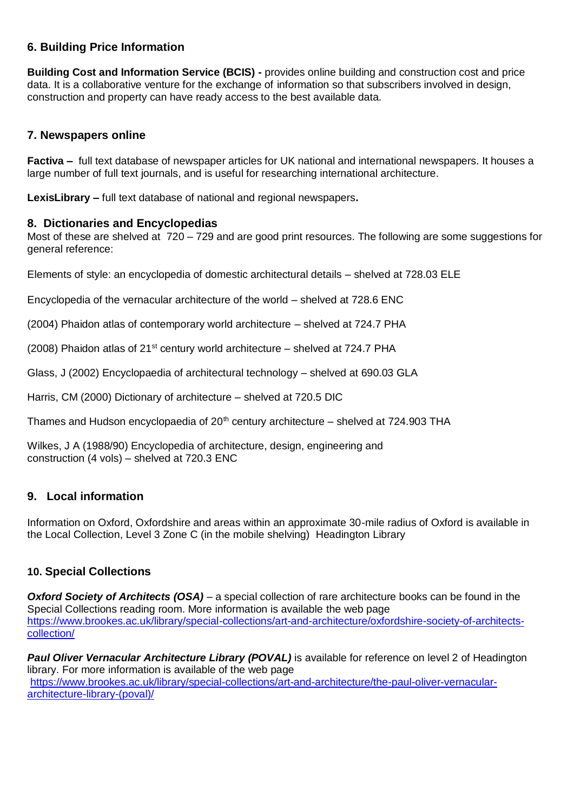#### **6. Building Price Information**

**Building Cost and Information Service (BCIS) -** provides online building and construction cost and price data. It is a collaborative venture for the exchange of information so that subscribers involved in design, construction and property can have ready access to the best available data.

#### **7. Newspapers online**

**Factiva –** full text database of newspaper articles for UK national and international newspapers. It houses a large number of full text journals, and is useful for researching international architecture.

**LexisLibrary –** full text database of national and regional newspapers**.**

#### **8. Dictionaries and Encyclopedias**

Most of these are shelved at 720 – 729 and are good print resources. The following are some suggestions for general reference:

Elements of style: an encyclopedia of domestic architectural details – shelved at 728.03 ELE

Encyclopedia of the vernacular architecture of the world – shelved at 728.6 ENC

(2004) Phaidon atlas of contemporary world architecture – shelved at 724.7 PHA

(2008) Phaidon atlas of  $21<sup>st</sup>$  century world architecture – shelved at 724.7 PHA

Glass, J (2002) Encyclopaedia of architectural technology – shelved at 690.03 GLA

Harris, CM (2000) Dictionary of architecture – shelved at 720.5 DIC

Thames and Hudson encyclopaedia of  $20<sup>th</sup>$  century architecture – shelved at 724.903 THA

Wilkes, J A (1988/90) Encyclopedia of architecture, design, engineering and construction (4 vols) – shelved at 720.3 ENC

#### **9. Local information**

Information on Oxford, Oxfordshire and areas within an approximate 30-mile radius of Oxford is available in the Local Collection, Level 3 Zone C (in the mobile shelving) Headington Library

#### **10. Special Collections**

*Oxford Society of Architects (OSA)* – a special collection of rare architecture books can be found in the Special Collections reading room. More information is available the web page [https://www.brookes.ac.uk/library/special-collections/art-and-architecture/oxfordshire-society-of-architects](https://www.brookes.ac.uk/library/special-collections/art-and-architecture/oxfordshire-society-of-architects-collection/)[collection/](https://www.brookes.ac.uk/library/special-collections/art-and-architecture/oxfordshire-society-of-architects-collection/)

*Paul Oliver Vernacular Architecture Library (POVAL)* is available for reference on level 2 of Headington library. For more information is available of the web page [https://www.brookes.ac.uk/library/special-collections/art-and-architecture/the-paul-oliver-vernacular](https://www.brookes.ac.uk/library/special-collections/art-and-architecture/the-paul-oliver-vernacular-architecture-library-(poval)/)[architecture-library-\(poval\)/](https://www.brookes.ac.uk/library/special-collections/art-and-architecture/the-paul-oliver-vernacular-architecture-library-(poval)/)